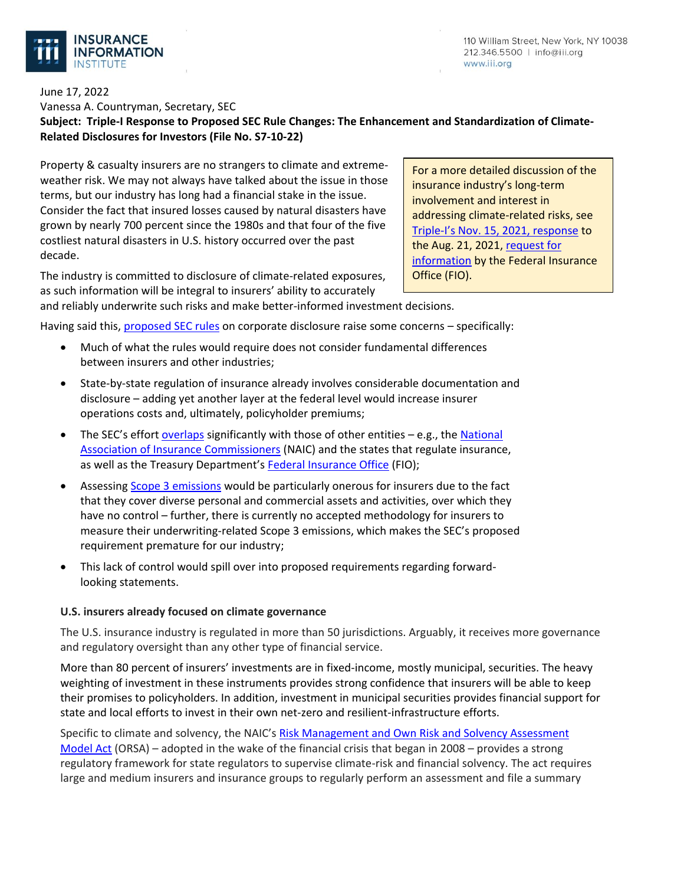

110 William Street, New York, NY 10038 212.346.5500 | info@iii.org www.iii.org

# June 17, 2022 Vanessa A. Countryman, Secretary, SEC **Subject: Triple-I Response to Proposed SEC Rule Changes: The Enhancement and Standardization of Climate-Related Disclosures for Investors (File No. S7-10-22)**

Property & casualty insurers are no strangers to climate and extremeweather risk. We may not always have talked about the issue in those terms, but our industry has long had a financial stake in the issue. Consider the fact that insured losses caused by natural disasters have grown by nearly 700 percent since the 1980s and that four of the five costliest natural disasters in U.S. history occurred over the past decade.

The industry is committed to disclosure of climate-related exposures, as such information will be integral to insurers' ability to accurately and reliably underwrite such risks and make better-informed investment decisions.

For a more detailed discussion of the insurance industry's long-term involvement and interest in addressing climate-related risks, see Triple-[I's Nov. 15, 2021, response](https://www.iii.org/sites/default/files/docs/pdf/triple-i_fio_rfi_climate_risk_response_11152021.pdf) to the Aug. 21, 2021, request for [information](https://www.federalregister.gov/documents/2021/08/31/2021-18713/federal-insurance-office-request-for-information-on-the-insurance-sector-and-climate-related) by the Federal Insurance Office (FIO).

Having said this, [proposed SEC rules](https://www.federalregister.gov/documents/2022/04/11/2022-06342/the-enhancement-and-standardization-of-climate-related-disclosures-for-investors) on corporate disclosure raise some concerns – specifically:

- Much of what the rules would require does not consider fundamental differences between insurers and other industries;
- State-by-state regulation of insurance already involves considerable documentation and disclosure – adding yet another layer at the federal level would increase insurer operations costs and, ultimately, policyholder premiums;
- The SEC's effort [overlaps](https://www.jdsupra.com/legalnews/insurers-hit-with-two-climate-9109011/) significantly with those of other entities e.g., the National [Association of Insurance Commissioners](https://content.naic.org/article/us-insurance-commissioners-endorse-internationally-recognized-climate-risk-disclosure-standard) (NAIC) and the states that regulate insurance, as well as the Treasury Department's [Federal Insurance Office](https://home.treasury.gov/policy-issues/financial-markets-financial-institutions-and-fiscal-service/federal-insurance-office) (FIO);
- Assessing [Scope 3 emissions](https://www.carbontrust.com/resources/briefing-what-are-scope-3-emissions) would be particularly onerous for insurers due to the fact that they cover diverse personal and commercial assets and activities, over which they have no control – further, there is currently no accepted methodology for insurers to measure their underwriting-related Scope 3 emissions, which makes the SEC's proposed requirement premature for our industry;
- This lack of control would spill over into proposed requirements regarding forwardlooking statements.

# **U.S. insurers already focused on climate governance**

The U.S. insurance industry is regulated in more than 50 jurisdictions. Arguably, it receives more governance and regulatory oversight than any other type of financial service.

More than 80 percent of insurers' investments are in fixed-income, mostly municipal, securities. The heavy weighting of investment in these instruments provides strong confidence that insurers will be able to keep their promises to policyholders. In addition, investment in municipal securities provides financial support for state and local efforts to invest in their own net-zero and resilient-infrastructure efforts.

Specific to climate and solvency, the NAIC's Risk Management and Own [Risk and Solvency Assessment](https://content.naic.org/cipr-topics/own-risk-and-solvency-assessment-orsa)  [Model Act](https://content.naic.org/cipr-topics/own-risk-and-solvency-assessment-orsa) (ORSA) – adopted in the wake of the financial crisis that began in 2008 – provides a strong regulatory framework for state regulators to supervise climate-risk and financial solvency. The act requires large and medium insurers and insurance groups to regularly perform an assessment and file a summary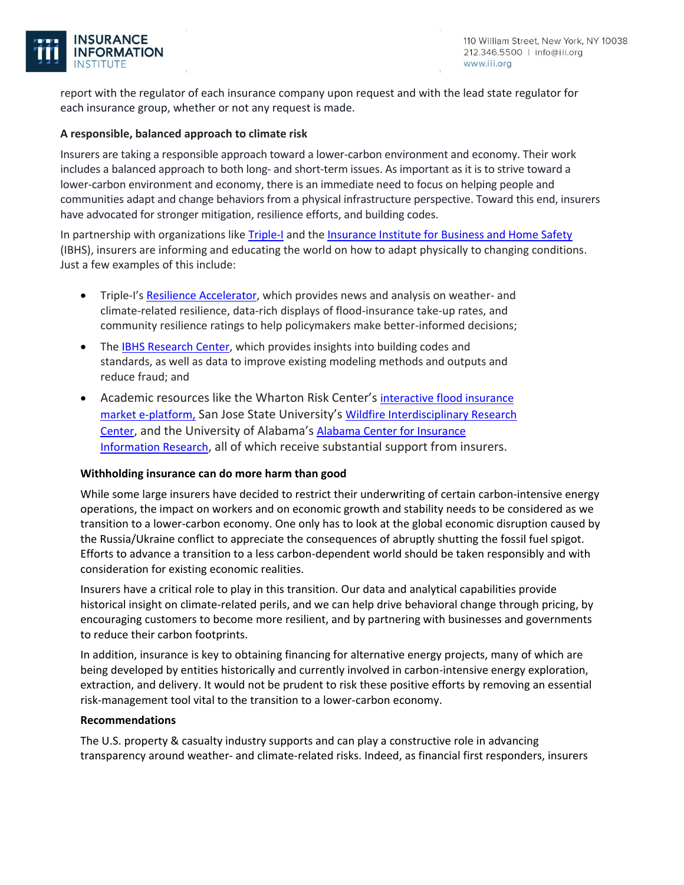

report with the regulator of each insurance company upon request and with the lead state regulator for each insurance group, whether or not any request is made.

## **A responsible, balanced approach to climate risk**

Insurers are taking a responsible approach toward a lower-carbon environment and economy. Their work includes a balanced approach to both long- and short-term issues. As important as it is to strive toward a lower-carbon environment and economy, there is an immediate need to focus on helping people and communities adapt and change behaviors from a physical infrastructure perspective. Toward this end, insurers have advocated for stronger mitigation, resilience efforts, and building codes.

In partnership with organizations like [Triple-I](https://www.iii.org/) and the [Insurance Institute for Business and Home Safety](https://ibhs.org/) (IBHS), insurers are informing and educating the world on how to adapt physically to changing conditions. Just a few examples of this include:

- Triple-I's [Resilience Accelerator,](https://resilience.iii.org/) which provides news and analysis on weather- and climate-related resilience, data-rich displays of flood-insurance take-up rates, and community resilience ratings to help policymakers make better-informed decisions;
- The [IBHS Research Center,](https://ibhs.org/about-ibhs/ibhs-research-center/) which provides insights into building codes and standards, as well as data to improve existing modeling methods and outputs and reduce fraud; and
- Academic resources like the Wharton Risk Center's interactive flood insurance [market e-platform,](https://upenn.maps.arcgis.com/apps/MapSeries/index.html?appid=4fa76ed45f9f4ee5a5995c0ea7aef6f3) San Jose State University's [Wildfire Interdisciplinary Research](https://www.sjsu.edu/wildfire/index.php)  [Center](https://www.sjsu.edu/wildfire/index.php), and the University of Alabama's [Alabama Center for Insurance](https://culverhouse.ua.edu/aciirdirectory/)  [Information Research](https://culverhouse.ua.edu/aciirdirectory/), all of which receive substantial support from insurers.

# **Withholding insurance can do more harm than good**

While some large insurers have decided to restrict their underwriting of certain carbon-intensive energy operations, the impact on workers and on economic growth and stability needs to be considered as we transition to a lower-carbon economy. One only has to look at the global economic disruption caused by the Russia/Ukraine conflict to appreciate the consequences of abruptly shutting the fossil fuel spigot. Efforts to advance a transition to a less carbon-dependent world should be taken responsibly and with consideration for existing economic realities.

Insurers have a critical role to play in this transition. Our data and analytical capabilities provide historical insight on climate-related perils, and we can help drive behavioral change through pricing, by encouraging customers to become more resilient, and by partnering with businesses and governments to reduce their carbon footprints.

In addition, insurance is key to obtaining financing for alternative energy projects, many of which are being developed by entities historically and currently involved in carbon-intensive energy exploration, extraction, and delivery. It would not be prudent to risk these positive efforts by removing an essential risk-management tool vital to the transition to a lower-carbon economy.

### **Recommendations**

The U.S. property & casualty industry supports and can play a constructive role in advancing transparency around weather- and climate-related risks. Indeed, as financial first responders, insurers